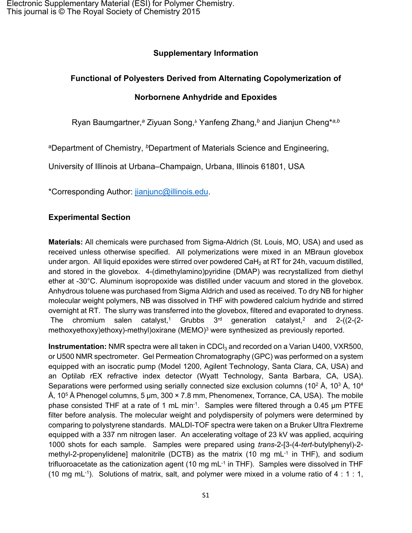# **Supplementary Information**

# **Functional of Polyesters Derived from Alternating Copolymerization of**

# **Norbornene Anhydride and Epoxides**

Ryan Baumgartner,*<sup>a</sup>* Ziyuan Song,*<sup>b</sup>* Yanfeng Zhang,*<sup>b</sup>* and Jianjun Cheng\**a,b*

<sup>a</sup>Department of Chemistry, *<sup>b</sup>*Department of Materials Science and Engineering,

University of Illinois at Urbana‒Champaign, Urbana, Illinois 61801, USA

\*Corresponding Author: [jianjunc@illinois.edu.](mailto:jianjunc@illinois.edu)

# **Experimental Section**

**Materials:** All chemicals were purchased from Sigma-Aldrich (St. Louis, MO, USA) and used as received unless otherwise specified. All polymerizations were mixed in an MBraun glovebox under argon. All liquid epoxides were stirred over powdered CaH<sub>2</sub> at RT for 24h, vacuum distilled, and stored in the glovebox. 4-(dimethylamino)pyridine (DMAP) was recrystallized from diethyl ether at -30°C. Aluminum isopropoxide was distilled under vacuum and stored in the glovebox. Anhydrous toluene was purchased from Sigma Aldrich and used as received. To dry NB for higher molecular weight polymers, NB was dissolved in THF with powdered calcium hydride and stirred overnight at RT. The slurry was transferred into the glovebox, filtered and evaporated to dryness. The chromium salen catalyst,<sup>[1](#page-13-0)</sup> Grubbs  $3<sup>rd</sup>$  generation catalyst,<sup>[2](#page-13-1)</sup> and 2-((2-(2-methoxyethoxy)ethoxy)-methyl)oxirane (MEMO)<sup>[3](#page-13-2)</sup> were synthesized as previously reported.

**Instrumentation:** NMR spectra were all taken in CDCl<sub>3</sub> and recorded on a Varian U400, VXR500, or U500 NMR spectrometer. Gel Permeation Chromatography (GPC) was performed on a system equipped with an isocratic pump (Model 1200, Agilent Technology, Santa Clara, CA, USA) and an Optilab rEX refractive index detector (Wyatt Technology, Santa Barbara, CA, USA). Separations were performed using serially connected size exclusion columns (10<sup>2</sup> Å, 10<sup>3</sup> Å, 10<sup>4</sup> Å,  $10^5$  Å Phenogel columns, 5 µm, 300  $\times$  7.8 mm, Phenomenex, Torrance, CA, USA). The mobile phase consisted THF at a rate of 1 mL min<sup>-1</sup>. Samples were filtered through a 0.45 µm PTFE filter before analysis. The molecular weight and polydispersity of polymers were determined by comparing to polystyrene standards. MALDI-TOF spectra were taken on a Bruker Ultra Flextreme equipped with a 337 nm nitrogen laser. An accelerating voltage of 23 kV was applied, acquiring 1000 shots for each sample. Samples were prepared using *trans*-2-[3-(4-*tert*-butylphenyl)-2 methyl-2-propenylidene] malonitrile (DCTB) as the matrix (10 mg mL<sup>-1</sup> in THF), and sodium trifluoroacetate as the cationization agent (10 mg mL-1 in THF). Samples were dissolved in THF (10 mg mL $^{-1}$ ). Solutions of matrix, salt, and polymer were mixed in a volume ratio of 4 : 1 : 1,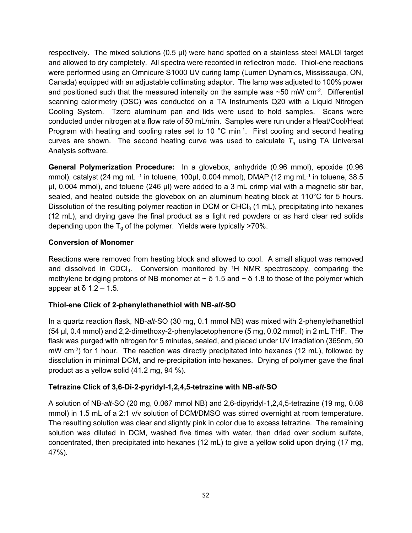respectively. The mixed solutions (0.5 µl) were hand spotted on a stainless steel MALDI target and allowed to dry completely. All spectra were recorded in reflectron mode. Thiol-ene reactions were performed using an Omnicure S1000 UV curing lamp (Lumen Dynamics, Mississauga, ON, Canada) equipped with an adjustable collimating adaptor. The lamp was adjusted to 100% power and positioned such that the measured intensity on the sample was  $\sim$  50 mW cm $^{-2}$ . Differential scanning calorimetry (DSC) was conducted on a TA Instruments Q20 with a Liquid Nitrogen Cooling System. Tzero aluminum pan and lids were used to hold samples. Scans were conducted under nitrogen at a flow rate of 50 mL/min. Samples were run under a Heat/Cool/Heat Program with heating and cooling rates set to 10 °C min-1. First cooling and second heating curves are shown. The second heating curve was used to calculate  $T_q$  using TA Universal Analysis software.

**General Polymerization Procedure:** In a glovebox, anhydride (0.96 mmol), epoxide (0.96 mmol), catalyst (24 mg mL $^{-1}$  in toluene, 100µl, 0.004 mmol), DMAP (12 mg mL $^{-1}$  in toluene, 38.5 µl, 0.004 mmol), and toluene (246 µl) were added to a 3 mL crimp vial with a magnetic stir bar, sealed, and heated outside the glovebox on an aluminum heating block at 110°C for 5 hours. Dissolution of the resulting polymer reaction in DCM or CHC $l_3$  (1 mL), precipitating into hexanes (12 mL), and drying gave the final product as a light red powders or as hard clear red solids depending upon the  $T_q$  of the polymer. Yields were typically >70%.

### **Conversion of Monomer**

Reactions were removed from heating block and allowed to cool. A small aliquot was removed and dissolved in CDC $I_3$ . Conversion monitored by  ${}^{1}H$  NMR spectroscopy, comparing the methylene bridging protons of NB monomer at  $\sim$  δ 1.5 and  $\sim$  δ 1.8 to those of the polymer which appear at δ  $1.2 - 1.5$ .

#### **Thiol-ene Click of 2-phenylethanethiol with NB-***alt***-SO**

In a quartz reaction flask, NB-*alt*-SO (30 mg, 0.1 mmol NB) was mixed with 2-phenylethanethiol (54 µl, 0.4 mmol) and 2,2-dimethoxy-2-phenylacetophenone (5 mg, 0.02 mmol) in 2 mL THF. The flask was purged with nitrogen for 5 minutes, sealed, and placed under UV irradiation (365nm, 50 mW cm<sup>-2</sup>) for 1 hour. The reaction was directly precipitated into hexanes (12 mL), followed by dissolution in minimal DCM, and re-precipitation into hexanes. Drying of polymer gave the final product as a yellow solid (41.2 mg, 94 %).

#### **Tetrazine Click of 3,6-Di-2-pyridyl-1,2,4,5-tetrazine with NB-***alt***-SO**

A solution of NB-*alt*-SO (20 mg, 0.067 mmol NB) and 2,6-dipyridyl-1,2,4,5-tetrazine (19 mg, 0.08 mmol) in 1.5 mL of a 2:1 v/v solution of DCM/DMSO was stirred overnight at room temperature. The resulting solution was clear and slightly pink in color due to excess tetrazine. The remaining solution was diluted in DCM, washed five times with water, then dried over sodium sulfate, concentrated, then precipitated into hexanes (12 mL) to give a yellow solid upon drying (17 mg, 47%).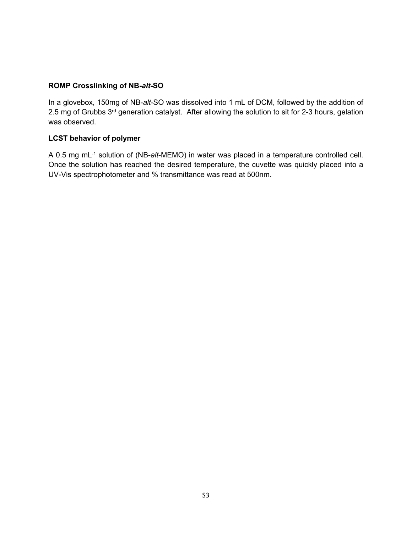#### **ROMP Crosslinking of NB-***alt***-SO**

In a glovebox, 150mg of NB-*alt*-SO was dissolved into 1 mL of DCM, followed by the addition of 2.5 mg of Grubbs 3<sup>rd</sup> generation catalyst. After allowing the solution to sit for 2-3 hours, gelation was observed.

#### **LCST behavior of polymer**

A 0.5 mg mL-1 solution of (NB-*alt*-MEMO) in water was placed in a temperature controlled cell. Once the solution has reached the desired temperature, the cuvette was quickly placed into a UV-Vis spectrophotometer and % transmittance was read at 500nm.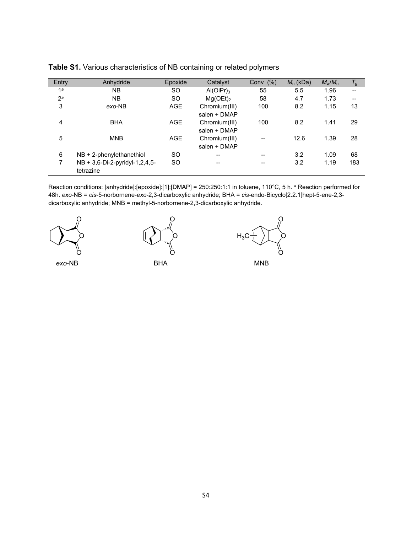| Entry          | Anhydride                        | Epoxide    | Catalyst                              | Conv $(%)$ | $M_n$ (kDa) | $M_w/M_n$ | $T_g$ |
|----------------|----------------------------------|------------|---------------------------------------|------------|-------------|-----------|-------|
| 1 <sup>a</sup> | NB.                              | SO.        | $Al(OiPr)_{3}$                        | 55         | 5.5         | 1.96      | --    |
| 2 <sup>a</sup> | <b>NB</b>                        | <b>SO</b>  | Mg(OEt) <sub>2</sub>                  | 58         | 4.7         | 1.73      | --    |
| 3              | exo-NB                           | <b>AGE</b> | Chromium(III)                         | 100        | 8.2         | 1.15      | 13    |
|                |                                  |            | salen + DMAP                          |            |             |           |       |
| 4              | <b>BHA</b>                       | <b>AGE</b> | Chromium(III)                         | 100        | 8.2         | 1.41      | 29    |
|                |                                  |            | salen + DMAP                          |            |             |           |       |
| 5              | <b>MNB</b>                       | <b>AGE</b> | Chromium(III)                         | $- -$      | 12.6        | 1.39      | 28    |
|                |                                  |            | salen + DMAP                          |            |             |           |       |
| 6              | $NB + 2$ -phenylethanethiol      | <b>SO</b>  | $\hspace{0.05cm}$ – $\hspace{0.05cm}$ | --         | 3.2         | 1.09      | 68    |
| 7              | $NB + 3,6-Di-2-pyridyl-1,2,4,5-$ | <b>SO</b>  | --                                    | --         | 3.2         | 1.19      | 183   |
|                | tetrazine                        |            |                                       |            |             |           |       |

| Table S1. Various characteristics of NB containing or related polymers |  |  |  |  |  |
|------------------------------------------------------------------------|--|--|--|--|--|
|------------------------------------------------------------------------|--|--|--|--|--|

Reaction conditions: [anhydride]:[epoxide]:[1]:[DMAP] = 250:250:1:1 in toluene, 110°C, 5 h. *<sup>a</sup>* Reaction performed for 48h. *exo*-NB = *cis*-5-norbornene-*exo*-2,3-dicarboxylic anhydride; BHA = *cis*-endo-Bicyclo[2.2.1]hept-5-ene-2,3 dicarboxylic anhydride; MNB = methyl-5-norbornene-2,3-dicarboxylic anhydride.





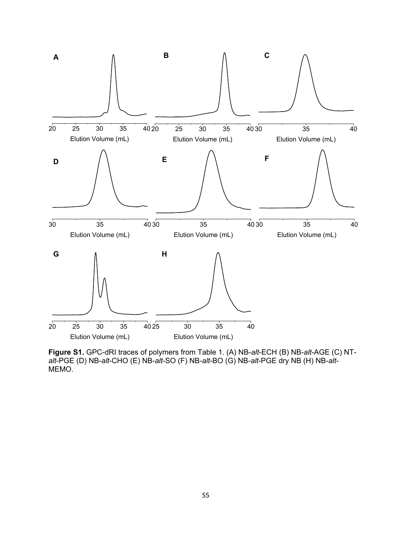

**Figure S1.** GPC-dRI traces of polymers from Table 1. (A) NB-*alt*-ECH (B) NB-*alt*-AGE (C) NT*alt*-PGE (D) NB-*alt*-CHO (E) NB-*alt*-SO (F) NB-*alt*-BO (G) NB-*alt*-PGE dry NB (H) NB-*alt*-MEMO.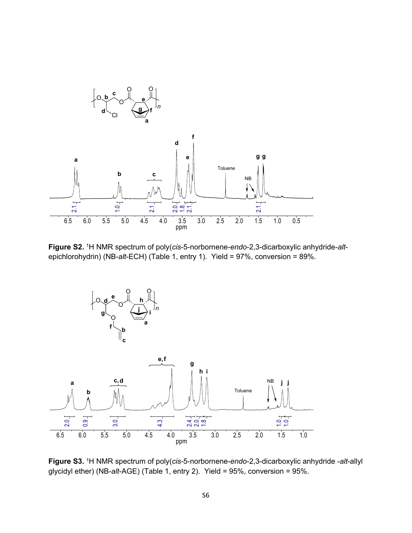

**Figure S2.** <sup>1</sup>H NMR spectrum of poly(*cis*-5-norbornene-*endo*-2,3-dicarboxylic anhydride-*alt*epichlorohydrin) (NB-*alt*-ECH) (Table 1, entry 1). Yield = 97%, conversion = 89%.



**Figure S3.** <sup>1</sup>H NMR spectrum of poly(*cis*-5-norbornene-*endo*-2,3-dicarboxylic anhydride -*alt*-allyl glycidyl ether) (NB-*alt*-AGE) (Table 1, entry 2). Yield = 95%, conversion = 95%.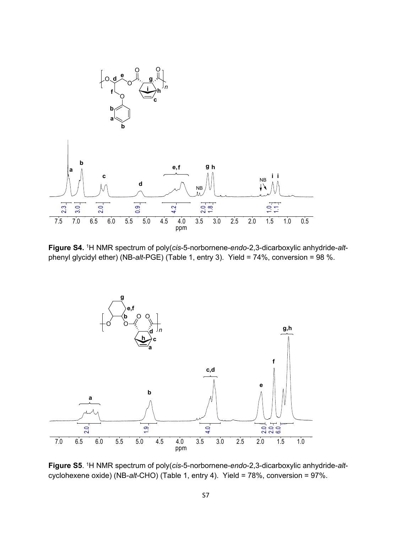

**Figure S4.** <sup>1</sup>H NMR spectrum of poly(*cis*-5-norbornene-*endo*-2,3-dicarboxylic anhydride-*alt*phenyl glycidyl ether) (NB-*alt*-PGE) (Table 1, entry 3). Yield = 74%, conversion = 98 %.



**Figure S5**. <sup>1</sup>H NMR spectrum of poly(*cis*-5-norbornene-*endo*-2,3-dicarboxylic anhydride-*alt*cyclohexene oxide) (NB-*alt*-CHO) (Table 1, entry 4). Yield = 78%, conversion = 97%.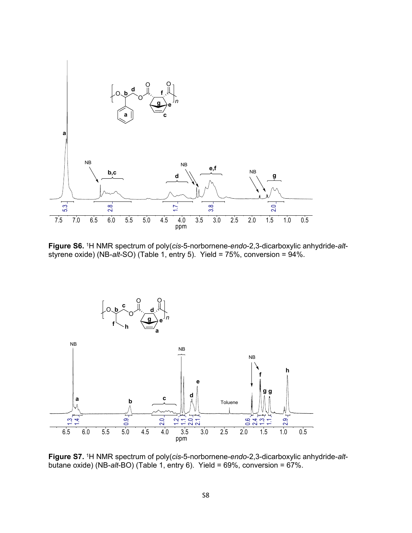

**Figure S6.** <sup>1</sup>H NMR spectrum of poly(*cis*-5-norbornene-*endo*-2,3-dicarboxylic anhydride-*alt*styrene oxide) (NB-*alt*-SO) (Table 1, entry 5). Yield = 75%, conversion = 94%.



**Figure S7.** <sup>1</sup>H NMR spectrum of poly(*cis*-5-norbornene-*endo*-2,3-dicarboxylic anhydride-*alt*butane oxide) (NB-*alt*-BO) (Table 1, entry 6). Yield = 69%, conversion = 67%.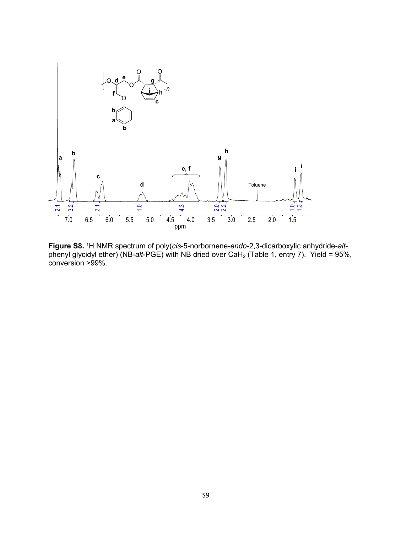

**Figure S8.** <sup>1</sup>H NMR spectrum of poly(*cis*-5-norbornene-*endo*-2,3-dicarboxylic anhydride-*alt*phenyl glycidyl ether) (NB-alt-PGE) with NB dried over CaH<sub>2</sub> (Table 1, entry 7). Yield = 95%, conversion >99%.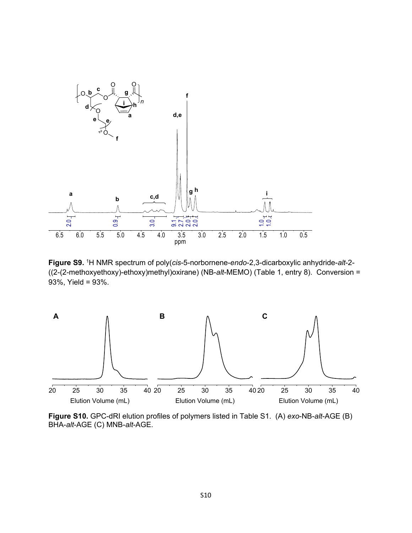

**Figure S9.** <sup>1</sup>H NMR spectrum of poly(*cis*-5-norbornene-*endo*-2,3-dicarboxylic anhydride-*alt*-2- ((2-(2-methoxyethoxy)-ethoxy)methyl)oxirane) (NB-*alt*-MEMO) (Table 1, entry 8). Conversion = 93%, Yield = 93%.



**Figure S10.** GPC-dRI elution profiles of polymers listed in Table S1. (A) *exo*-NB-*alt*-AGE (B) BHA-*alt*-AGE (C) MNB-*alt*-AGE.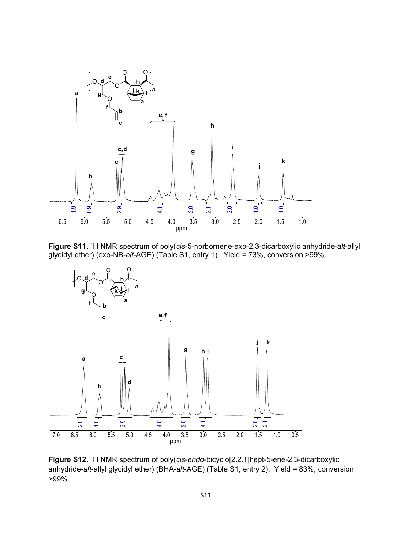

**Figure S11.** <sup>1</sup>H NMR spectrum of poly(*cis*-5-norbornene-*exo*-2,3-dicarboxylic anhydride-*alt*-allyl glycidyl ether) (exo-NB-*alt*-AGE) (Table S1, entry 1). Yield = 73%, conversion >99%.



**Figure S12.** <sup>1</sup>H NMR spectrum of poly(*cis*-*endo*-bicyclo[2.2.1]hept-5-ene-2,3-dicarboxylic anhydride-*alt*-allyl glycidyl ether) (BHA-*alt*-AGE) (Table S1, entry 2). Yield = 83%, conversion >99%.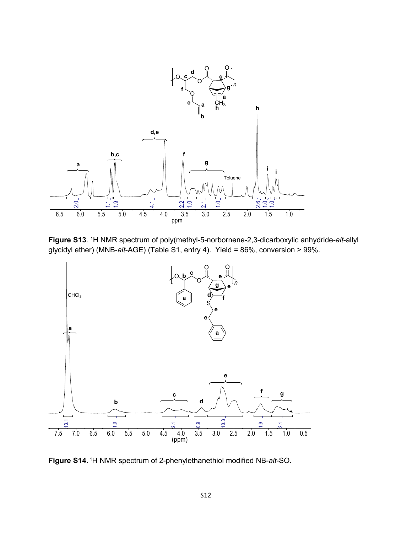

**Figure S13**. <sup>1</sup>H NMR spectrum of poly(methyl-5-norbornene-2,3-dicarboxylic anhydride-*alt*-allyl glycidyl ether) (MNB-*alt*-AGE) (Table S1, entry 4). Yield = 86%, conversion > 99%.



**Figure S14.** <sup>1</sup>H NMR spectrum of 2-phenylethanethiol modified NB-*alt*-SO.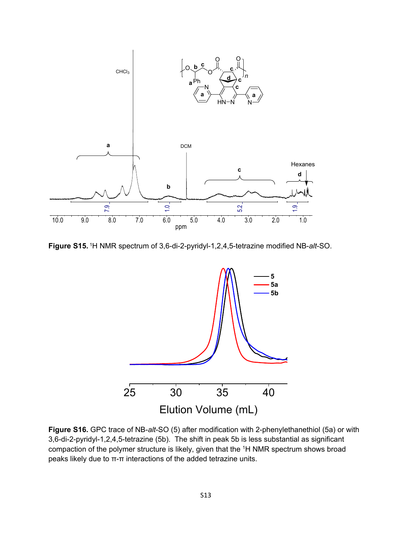

**Figure S15.** <sup>1</sup>H NMR spectrum of 3,6-di-2-pyridyl-1,2,4,5-tetrazine modified NB-*alt*-SO.



**Figure S16.** GPC trace of NB-*alt*-SO (5) after modification with 2-phenylethanethiol (5a) or with 3,6-di-2-pyridyl-1,2,4,5-tetrazine (5b). The shift in peak 5b is less substantial as significant compaction of the polymer structure is likely, given that the <sup>1</sup>H NMR spectrum shows broad peaks likely due to π-π interactions of the added tetrazine units.